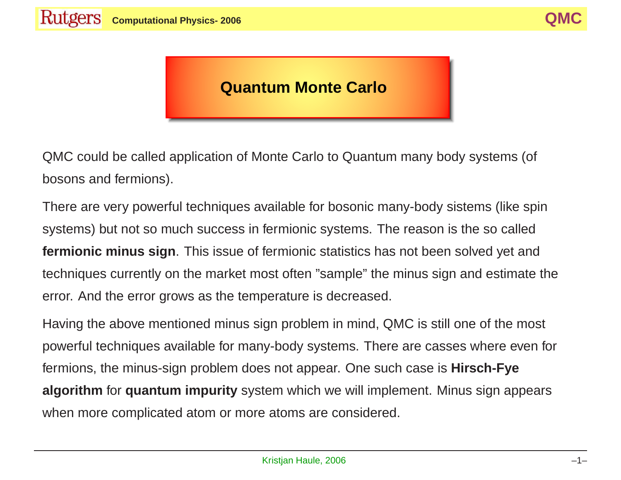## **Quantum Monte Carlo**

QMC could be called application of Monte Carlo to Quantum many body systems (of bosons and fermions).

There are very powerful techniques available for bosonic many-body sistems (like spin systems) but not so much success in fermionic systems. The reason is the so called **fermionic minus sign**. This issue of fermionic statistics has not been solved yet and techniques currently on the market most often "sample" the minus sign and estimate the error. And the error grows as the temperature is decreased.

Having the above mentioned minus sign problem in mind, QMC is still one of the most powerful techniques available for many-body systems. There are casses where even for fermions, the minus-sign problem does not appear. One such case is **Hirsch-Fye algorithm** for **quantum impurity** system which we will implement. Minus sign appears when more complicated atom or more atoms are considered.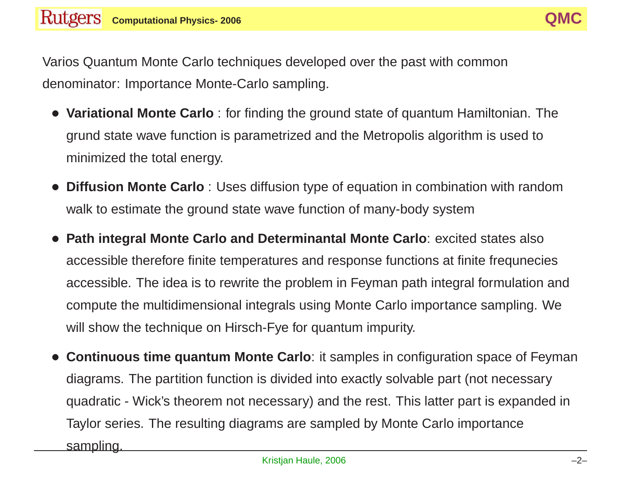Varios Quantum Monte Carlo techniques developed over the past with common denominator: Importance Monte-Carlo sampling.

- **Variational Monte Carlo** : for finding the ground state of quantum Hamiltonian. The grund state wave function is parametrized and the Metropolis algorithm is used to minimized the total energy.
- **Diffusion Monte Carlo** : Uses diffusion type of equation in combination with random walk to estimate the ground state wave function of many-body system
- **Path integral Monte Carlo and Determinantal Monte Carlo**: excited states also accessible therefore finite temperatures and response functions at finite frequnecies accessible. The idea is to rewrite the problem in Feyman path integral formulation and compute the multidimensional integrals using Monte Carlo importance sampling. We will show the technique on Hirsch-Fye for quantum impurity.
- **Continuous time quantum Monte Carlo**: it samples in configuration space of Feyman diagrams. The partition function is divided into exactly solvable part (not necessary quadratic - Wick's theorem not necessary) and the rest. This latter part is expanded in Taylor series. The resulting diagrams are sampled by Monte Carlo importance sampling.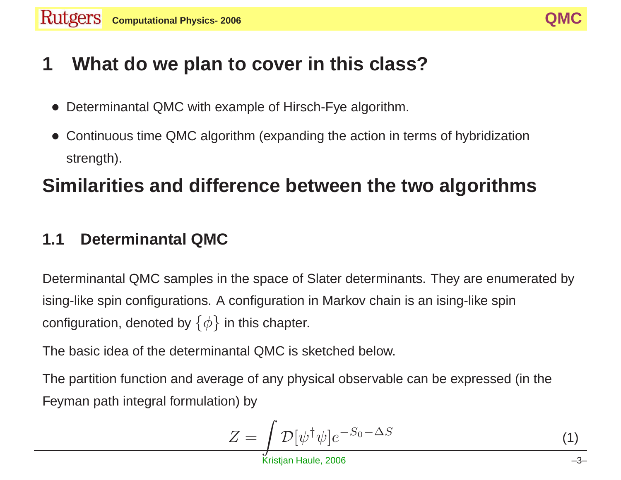# **1 What do we plan to cover in this class?**

- Determinantal QMC with example of Hirsch-Fye algorithm.
- Continuous time QMC algorithm (expanding the action in terms of hybridization strength).

# **Similarities and difference between the two algorithms**

# **1.1 Determinantal QMC**

Determinantal QMC samples in the space of Slater determinants. They are enumerated by ising-like spin configurations. A configuration in Markov chain is an ising-like spin configuration, denoted by  $\{\phi\}$  in this chapter.

The basic idea of the determinantal QMC is sketched below.

The partition function and average of any physical observable can be expressed (in the Feyman path integral formulation) by

$$
Z = \int \mathcal{D}[\psi^{\dagger} \psi] e^{-S_0 - \Delta S} \tag{1}
$$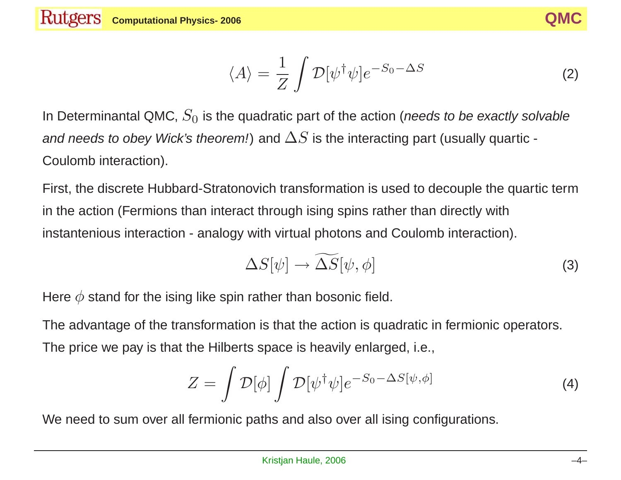$$
\langle A \rangle = \frac{1}{Z} \int \mathcal{D}[\psi^{\dagger} \psi] e^{-S_0 - \Delta S}
$$
 (2)

In Determinantal QMC,  $S_0$  is the quadratic part of the action (needs to be exactly solvable and needs to obey Wick's theorem!) and  $\Delta S$  is the interacting part (usually quartic -Coulomb interaction).

First, the discrete Hubbard-Stratonovich transformation is used to decouple the quartic term in the action (Fermions than interact through ising spins rather than directly with instantenious interaction - analogy with virtual photons and Coulomb interaction).

$$
\Delta S[\psi] \to \widetilde{\Delta S}[\psi, \phi]
$$
 (3)

Here  $\phi$  stand for the ising like spin rather than bosonic field.

The advantage of the transformation is that the action is quadratic in fermionic operators. The price we pay is that the Hilberts space is heavily enlarged, i.e.,

$$
Z = \int \mathcal{D}[\phi] \int \mathcal{D}[\psi^{\dagger} \psi] e^{-S_0 - \Delta S[\psi, \phi]} \tag{4}
$$

We need to sum over all fermionic paths and also over all ising configurations.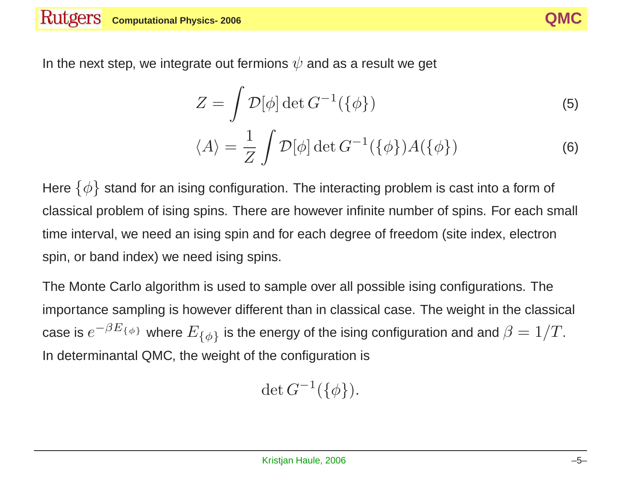

In the next step, we integrate out fermions  $\psi$  and as a result we get

$$
Z = \int \mathcal{D}[\phi] \det G^{-1}(\{\phi\})
$$
 (5)

$$
\langle A \rangle = \frac{1}{Z} \int \mathcal{D}[\phi] \det G^{-1}(\{\phi\}) A(\{\phi\})
$$
 (6)

Here  $\{\phi\}$  stand for an ising configuration. The interacting problem is cast into a form of classical problem of ising spins. There are however infinite number of spins. For each small time interval, we need an ising spin and for each degree of freedom (site index, electron spin, or band index) we need ising spins.

The Monte Carlo algorithm is used to sample over all possible ising configurations. The importance sampling is however different than in classical case. The weight in the classical case is  $e^{-\beta E_{\{\phi\}}}$  where  $E_{\{\phi\}}$  is the energy of the ising configuration and and  $\beta = 1/T$ . In determinantal QMC, the weight of the configuration is

$$
\det G^{-1}(\{\phi\}).
$$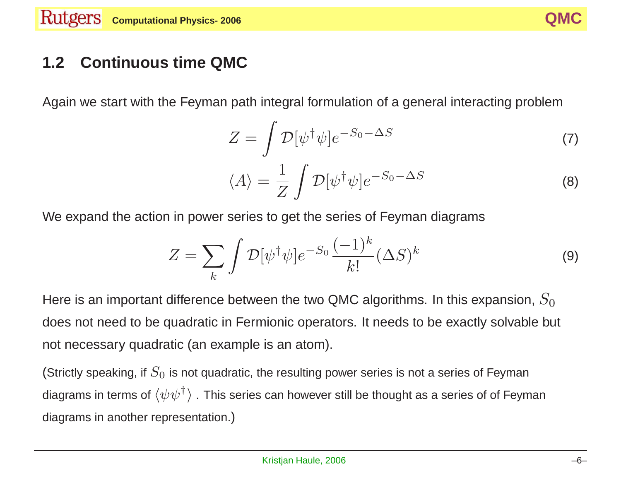

## **1.2 Continuous time QMC**

Again we start with the Feyman path integral formulation of <sup>a</sup> general interacting problem

$$
Z = \int \mathcal{D}[\psi^{\dagger} \psi] e^{-S_0 - \Delta S} \tag{7}
$$

$$
\langle A \rangle = \frac{1}{Z} \int \mathcal{D}[\psi^{\dagger} \psi] e^{-S_0 - \Delta S}
$$
 (8)

We expand the action in power series to get the series of Feyman diagrams

$$
Z = \sum_{k} \int \mathcal{D}[\psi^{\dagger} \psi] e^{-S_0} \frac{(-1)^k}{k!} (\Delta S)^k \tag{9}
$$

Here is an important difference between the two QMC algorithms. In this expansion,  $S_0$ does not need to be quadratic in Fermionic operators. It needs to be exactly solvable but not necessary quadratic (an example is an atom).

(Strictly speaking, if  $S_0$  is not quadratic, the resulting power series is not a series of Feyman diagrams in terms of  $\langle \psi\psi^\dagger \rangle$  . This series can however still be thought as a series of of Feyman diagrams in another representation.)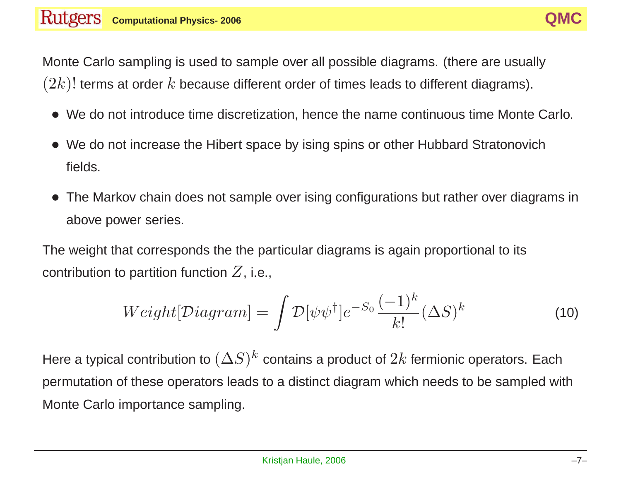Monte Carlo sampling is used to sample over all possible diagrams. (there are usually  $(2k)!$  terms at order  $k$  because different order of times leads to different diagrams).

- We do not introduce time discretization, hence the name continuous time Monte Carlo.
- We do not increase the Hibert space by ising spins or other Hubbard Stratonovich fields.
- The Markov chain does not sample over ising configurations but rather over diagrams in above power series.

The weight that corresponds the the particular diagrams is again proportional to its contribution to partition function  $Z$ , i.e.,

$$
Weight[\mathcal{D}iagram] = \int \mathcal{D}[\psi\psi^{\dagger}]e^{-S_0}\frac{(-1)^k}{k!}(\Delta S)^k
$$
\n(10)

Here a typical contribution to  $(\Delta S)^k$  contains a product of  $2k$  fermionic operators. Each permutation of these operators leads to <sup>a</sup> distinct diagram which needs to be sampled with Monte Carlo importance sampling.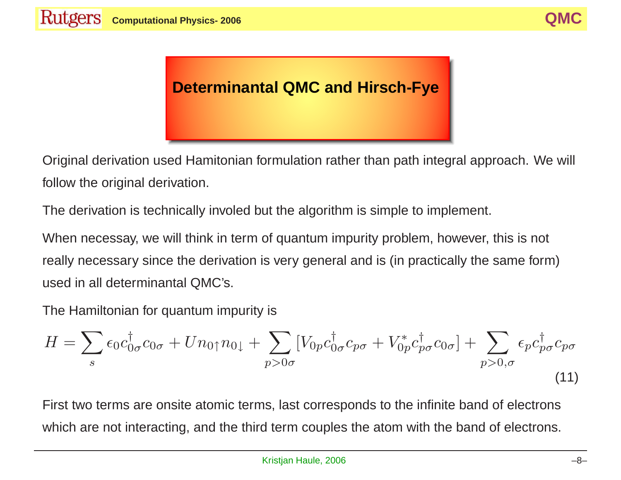# **Determinantal QMC and Hirsch-Fye**

Original derivation used Hamitonian formulation rather than path integral approach. We will follow the original derivation.

The derivation is technically involed but the algorithm is simple to implement.

When necessay, we will think in term of quantum impurity problem, however, this is not really necessary since the derivation is very general and is (in practically the same form) used in all determinantal QMC's.

The Hamiltonian for quantum impurity is  
\n
$$
H = \sum_{s} \epsilon_0 c_{0\sigma}^{\dagger} c_{0\sigma} + U n_{0\uparrow} n_{0\downarrow} + \sum_{p>0\sigma} \left[ V_{0p} c_{0\sigma}^{\dagger} c_{p\sigma} + V_{0p}^* c_{p\sigma}^{\dagger} c_{0\sigma} \right] + \sum_{p>0,\sigma} \epsilon_p c_{p\sigma}^{\dagger} c_{p\sigma} \tag{11}
$$

First two terms are onsite atomic terms, last corresponds to the infinite band of electrons which are not interacting, and the third term couples the atom with the band of electrons.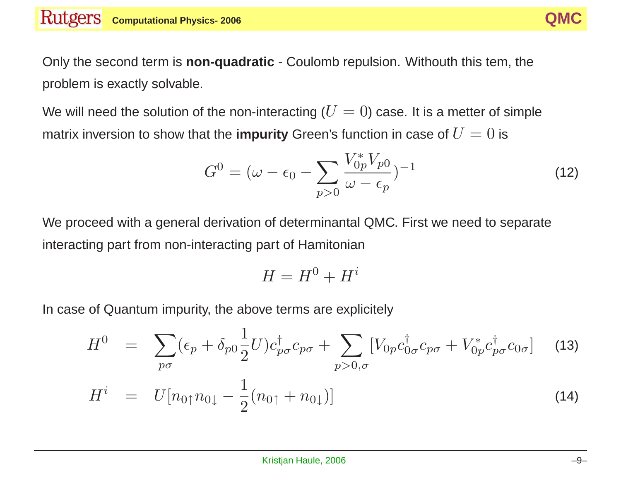Only the second term is **non-quadratic** - Coulomb repulsion. Withouth this tem, the problem is exactly solvable.

We will need the solution of the non-interacting ( $U=0$ ) case. It is a metter of simple matrix inversion to show that the **impurity** Green's function in case of  $U = 0$  is

$$
G^{0} = (\omega - \epsilon_{0} - \sum_{p>0} \frac{V_{0p}^{*} V_{p0}}{\omega - \epsilon_{p}})^{-1}
$$
\n(12)

We proceed with <sup>a</sup> general derivation of determinantal QMC. First we need to separate interacting part from non-interacting part of Hamitonian

$$
H = H^0 + H^i
$$

In case of Quantum impurity, the above terms are explicitely

$$
H^{0} = \sum_{p\sigma} (\epsilon_{p} + \delta_{p0} \frac{1}{2} U) c_{p\sigma}^{\dagger} c_{p\sigma} + \sum_{p>0,\sigma} [V_{0p} c_{0\sigma}^{\dagger} c_{p\sigma} + V_{0p}^{*} c_{p\sigma}^{\dagger} c_{0\sigma}] \quad (13)
$$
  

$$
H^{i} = U[n_{0\uparrow}n_{0\downarrow} - \frac{1}{2}(n_{0\uparrow} + n_{0\downarrow})]
$$
(14)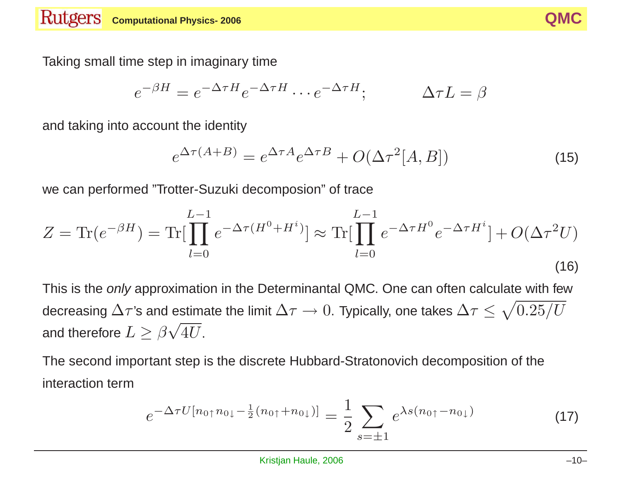

Taking small time step in imaginary time

$$
e^{-\beta H} = e^{-\Delta \tau H} e^{-\Delta \tau H} \cdots e^{-\Delta \tau H}; \qquad \Delta \tau L = \beta
$$

and taking into account the identity

$$
e^{\Delta \tau (A+B)} = e^{\Delta \tau A} e^{\Delta \tau B} + O(\Delta \tau^2 [A,B]) \tag{15}
$$

we can performed "Trotter-Suzuki decomposion" of trace

$$
Z = \text{Tr}(e^{-\beta H}) = \text{Tr}[\prod_{l=0}^{L-1} e^{-\Delta \tau (H^0 + H^i)}] \approx \text{Tr}[\prod_{l=0}^{L-1} e^{-\Delta \tau H^0} e^{-\Delta \tau H^i}] + O(\Delta \tau^2 U)
$$
\n(16)

This is the only approximation in the Determinantal QMC. One can often calculate with few decreasing  $\Delta \tau$ 's and estimate the limit  $\Delta \tau \to 0$ . Typically, one takes  $\Delta \tau \leq \sqrt{0.25/U}$ and therefore  $L \geq \beta \sqrt{4U}$ .

The second important step is the discrete Hubbard-Stratonovich decomposition of the interaction term

$$
e^{-\Delta \tau U[n_{0\uparrow}n_{0\downarrow}-\frac{1}{2}(n_{0\uparrow}+n_{0\downarrow})]} = \frac{1}{2} \sum_{s=\pm 1} e^{\lambda s(n_{0\uparrow}-n_{0\downarrow})}
$$
(17)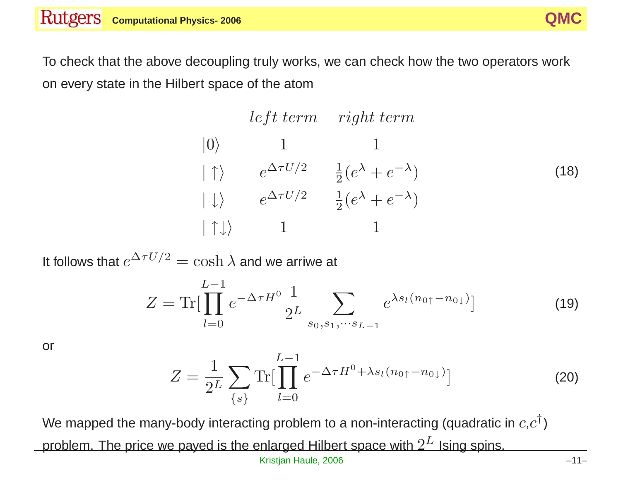To check that the above decoupling truly works, we can check how the two operators work on every state in the Hilbert space of the atom

# left term right term  $|0\rangle$  1 1  $|\uparrow\rangle$  e<sup> $\Delta \tau U/2$ </sup>  $\frac{1}{2} (e^{\lambda} + e^{-\lambda})$  $|\downarrow\rangle \qquad e^{\Delta\tau U/2} \qquad \frac{1}{2} (e^{\lambda} + e^{-\lambda})$  $| \uparrow \downarrow \rangle$  1 1 (18)

It follows that  $e^{\Delta \tau U/2} = \cosh \lambda$  and we arriwe at

$$
Z = \text{Tr}[\prod_{l=0}^{L-1} e^{-\Delta \tau H^0} \frac{1}{2^L} \sum_{s_0, s_1, \cdots s_{L-1}} e^{\lambda s_l (n_{0\uparrow} - n_{0\downarrow})}] \tag{19}
$$

or

$$
Z = \frac{1}{2^L} \sum_{\{s\}} \text{Tr}[\prod_{l=0}^{L-1} e^{-\Delta \tau H^0 + \lambda s_l (n_{0\uparrow} - n_{0\downarrow})}] \tag{20}
$$

We mapped the many-body interacting problem to a non-interacting (quadratic in  $c,c^{\dagger}$ ) problem. The price we payed is the enlarged Hilbert space with  $2^L$  Ising spins. Kristjan Haule, 2006 – 11–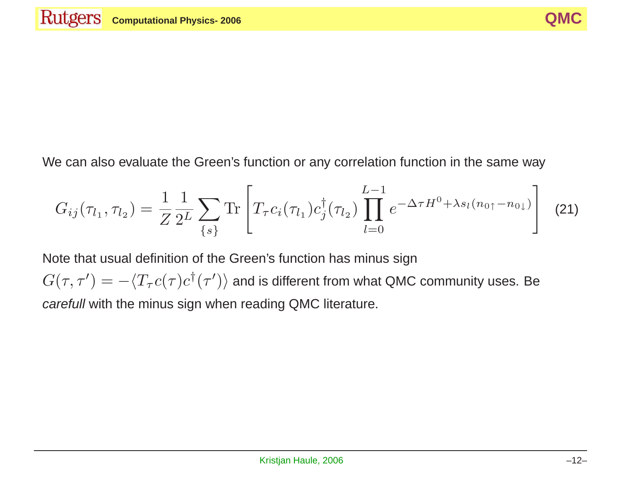We can also evaluate the Green's function or any correlation function in the same way

$$
G_{ij}(\tau_{l_1}, \tau_{l_2}) = \frac{1}{Z} \frac{1}{2^L} \sum_{\{s\}} \text{Tr} \left[ T_\tau c_i(\tau_{l_1}) c_j^{\dagger}(\tau_{l_2}) \prod_{l=0}^{L-1} e^{-\Delta \tau H^0 + \lambda s_l (n_0 + n_0)} \right] \tag{21}
$$

Note that usual definition of the Green's function has minus sign  $G(\tau, \tau') = -\langle T_{\tau} c(\tau) c^{\dagger}(\tau')\rangle$  and is different from what QMC community uses. Be carefull with the minus sign when reading QMC literature.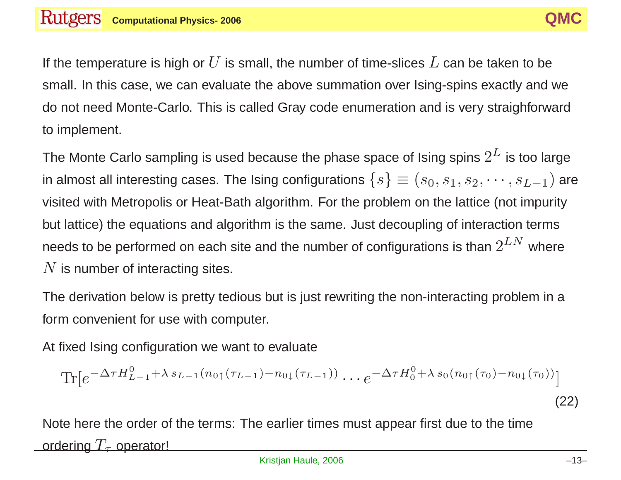If the temperature is high or  $U$  is small, the number of time-slices  $L$  can be taken to be small. In this case, we can evaluate the above summation over Ising-spins exactly and we do not need Monte-Carlo. This is called Gray code enumeration and is very straighforward to implement.

The Monte Carlo sampling is used because the phase space of Ising spins  $2^L$  is too large in almost all interesting cases. The Ising configurations  $\{s\} \equiv (s_0, s_1, s_2, \cdots, s_{L-1})$  are visited with Metropolis or Heat-Bath algorithm. For the problem on the lattice (not impurity but lattice) the equations and algorithm is the same. Just decoupling of interaction terms needs to be performed on each site and the number of configurations is than  $2^{LN}$  where  $N$  is number of interacting sites.

The derivation below is pretty tedious but is just rewriting the non-interacting problem in <sup>a</sup> form convenient for use with computer.

At fixed Ising configuration we want to evaluate

$$
\text{Tr}[e^{-\Delta \tau H_{L-1}^0 + \lambda s_{L-1}(n_{0\uparrow}(\tau_{L-1}) - n_{0\downarrow}(\tau_{L-1}))} \cdots e^{-\Delta \tau H_0^0 + \lambda s_0(n_{0\uparrow}(\tau_0) - n_{0\downarrow}(\tau_0))}] \tag{22}
$$

Note here the order of the terms: The earlier times must appear first due to the time ordering  $T_{\tau}$  operator!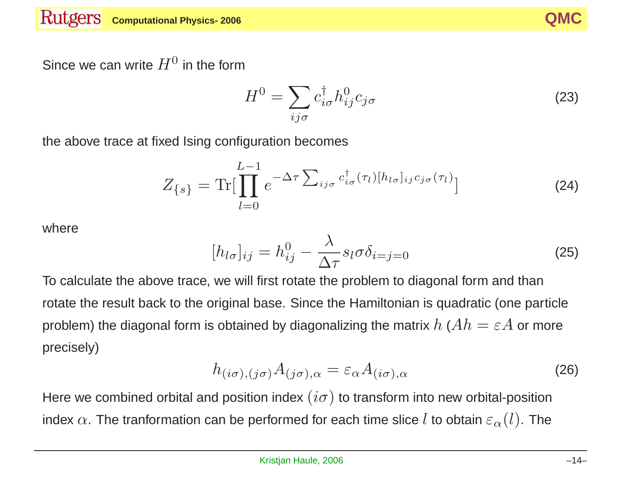

Since we can write  $H^0$  in the form

$$
H^{0} = \sum_{ij\sigma} c_{i\sigma}^{\dagger} h_{ij}^{0} c_{j\sigma}
$$
 (23)

the above trace at fixed Ising configuration becomes

$$
Z_{\{s\}} = \text{Tr}[\prod_{l=0}^{L-1} e^{-\Delta \tau \sum_{ij\sigma} c_{i\sigma}^{\dagger}(\tau_l)[h_{l\sigma}]_{ij}c_{j\sigma}(\tau_l)}]
$$
(24)

where

$$
[h_{l\sigma}]_{ij} = h_{ij}^0 - \frac{\lambda}{\Delta \tau} s_l \sigma \delta_{i=j=0}
$$
 (25)

To calculate the above trace, we will first rotate the problem to diagonal form and than rotate the result back to the original base. Since the Hamiltonian is quadratic (one particle problem) the diagonal form is obtained by diagonalizing the matrix  $h$  ( $Ah = \varepsilon A$  or more precisely)

$$
h_{(i\sigma),(j\sigma)}A_{(j\sigma),\alpha} = \varepsilon_{\alpha}A_{(i\sigma),\alpha} \tag{26}
$$

Here we combined orbital and position index  $(i\sigma)$  to transform into new orbital-position index  $\alpha$ . The tranformation can be performed for each time slice l to obtain  $\varepsilon_{\alpha}(l)$ . The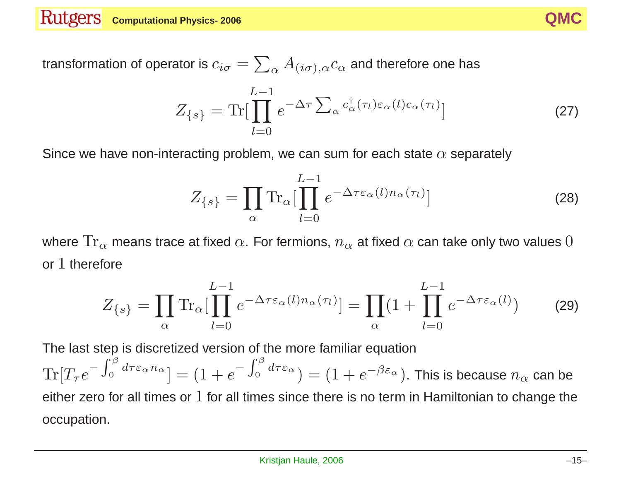

transformation of operator is  $c_{i\sigma} = \sum_{\alpha} A_{(i\sigma),\alpha} c_{\alpha}$  and therefore one has

$$
Z_{\{s\}} = \text{Tr}[\prod_{l=0}^{L-1} e^{-\Delta \tau \sum_{\alpha} c_{\alpha}^{\dagger}(\tau_l) \varepsilon_{\alpha}(l) c_{\alpha}(\tau_l)}]
$$
(27)

Since we have non-interacting problem, we can sum for each state  $\alpha$  separately

$$
Z_{\{s\}} = \prod_{\alpha} \text{Tr}_{\alpha} \left[ \prod_{l=0}^{L-1} e^{-\Delta \tau \varepsilon_{\alpha}(l) n_{\alpha}(\tau_l)} \right]
$$
(28)

where  $\text{Tr}_{\alpha}$  means trace at fixed  $\alpha$ . For fermions,  $n_{\alpha}$  at fixed  $\alpha$  can take only two values 0 or 1 therefore

$$
Z_{\{s\}} = \prod_{\alpha} \text{Tr}_{\alpha} \left[ \prod_{l=0}^{L-1} e^{-\Delta \tau \varepsilon_{\alpha}(l) n_{\alpha}(\tau_l)} \right] = \prod_{\alpha} \left( 1 + \prod_{l=0}^{L-1} e^{-\Delta \tau \varepsilon_{\alpha}(l)} \right) \tag{29}
$$

The last step is discretized version of the more familiar equation

 $Tr[T_\tau e^{-\int_0^\beta d\tau \varepsilon_\alpha n_\alpha}] = (1+e^{-\int_0^\beta d\tau \varepsilon_\alpha}) = (1+e^{-\beta \varepsilon_\alpha})$ . This is because  $n_\alpha$  can be either zero for all times or  $1$  for all times since there is no term in Hamiltonian to change the occupation.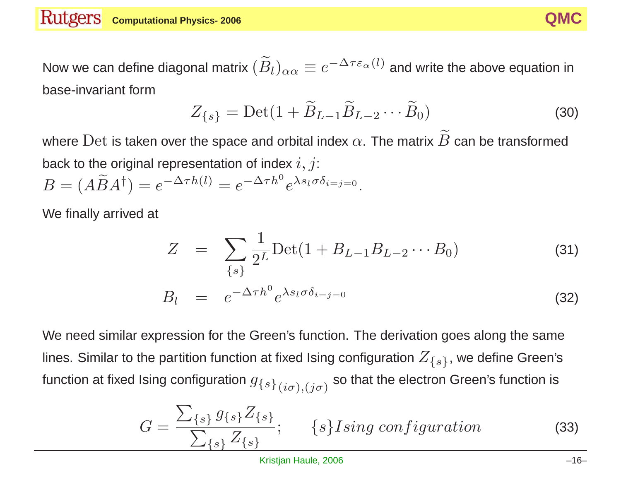Now we can define diagonal matrix  $(\widetilde{B}_l)_{\alpha\alpha}\equiv e^{-\Delta\tau\varepsilon_\alpha(l)}$  and write the above equation in base-invariant form

$$
Z_{\{s\}} = \text{Det}(1 + \widetilde{B}_{L-1}\widetilde{B}_{L-2}\cdots\widetilde{B}_0)
$$
\n(30)

where  ${\rm Det}$  is taken over the space and orbital index  $\alpha.$  The matrix  $\widetilde{B}$  can be transformed back to the original representation of index  $i, j$ :  $\widetilde{\phantom{m}}$ 

$$
B = (A\widetilde{B}A^{\dagger}) = e^{-\Delta \tau h(l)} = e^{-\Delta \tau h^0} e^{\lambda s_l \sigma \delta_{i=j=0}}.
$$

We finally arrived at

$$
Z = \sum_{\{s\}} \frac{1}{2^L} \text{Det}(1 + B_{L-1} B_{L-2} \cdots B_0)
$$
(31)  

$$
B_l = e^{-\Delta \tau h^0} e^{\lambda s_l \sigma \delta_{i=j=0}}
$$
(32)

We need similar expression for the Green's function. The derivation goes along the same lines. Similar to the partition function at fixed Ising configuration  $Z_{\{s\}}$ , we define Green's function at fixed Ising configuration  $g_{\{s\}}(i\sigma),(j\sigma)$  so that the electron Green's function is

$$
G = \frac{\sum_{\{s\}} g_{\{s\}} Z_{\{s\}}}{\sum_{\{s\}} Z_{\{s\}}}; \qquad \{s\} Ising\ configuration \tag{33}
$$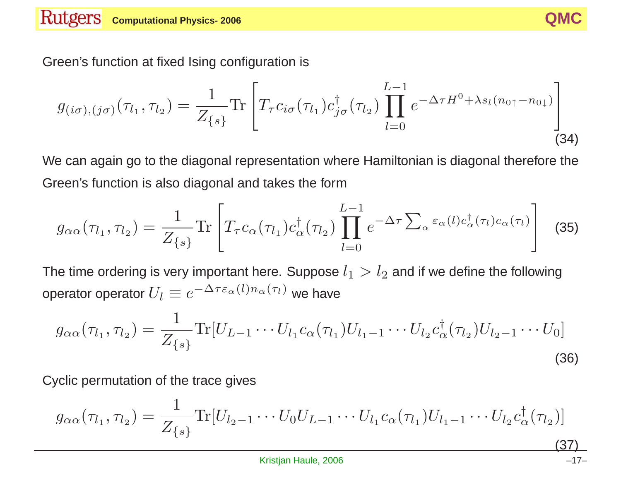

Green's function at fixed Ising configuration is

$$
g_{(i\sigma),(j\sigma)}(\tau_{l_1},\tau_{l_2}) = \frac{1}{Z_{\{s\}}} \text{Tr} \left[ T_\tau c_{i\sigma}(\tau_{l_1}) c_{j\sigma}^{\dagger}(\tau_{l_2}) \prod_{l=0}^{L-1} e^{-\Delta \tau H^0 + \lambda s_l (n_0 + n_0)} \right]
$$
(34)

We can again go to the diagonal representation where Hamiltonian is diagonal therefore the Green's function is also diagonal and takes the form

$$
g_{\alpha\alpha}(\tau_{l_1}, \tau_{l_2}) = \frac{1}{Z_{\{s\}}} \text{Tr} \left[ T_\tau c_\alpha(\tau_{l_1}) c_\alpha^\dagger(\tau_{l_2}) \prod_{l=0}^{L-1} e^{-\Delta \tau \sum_\alpha \varepsilon_\alpha(l) c_\alpha^\dagger(\tau_l) c_\alpha(\tau_l)} \right] \tag{35}
$$

The time ordering is very important here. Suppose  $l_1 > l_2$  and if we define the following operator operator  $U_l \equiv e^{-\Delta \tau \varepsilon_\alpha (l) n_\alpha (\tau_l)}$  we have

$$
g_{\alpha\alpha}(\tau_{l_1}, \tau_{l_2}) = \frac{1}{Z_{\{s\}}} \text{Tr}[U_{L-1} \cdots U_{l_1} c_{\alpha}(\tau_{l_1}) U_{l_1-1} \cdots U_{l_2} c_{\alpha}^{\dagger}(\tau_{l_2}) U_{l_2-1} \cdots U_0]
$$
\n(36)

Cyclic permutation of the trace gives

$$
g_{\alpha\alpha}(\tau_{l_1}, \tau_{l_2}) = \frac{1}{Z_{\{s\}}} \text{Tr}[U_{l_2-1} \cdots U_0 U_{L-1} \cdots U_{l_1} c_{\alpha}(\tau_{l_1}) U_{l_1-1} \cdots U_{l_2} c_{\alpha}^{\dagger}(\tau_{l_2})]
$$
\n(37)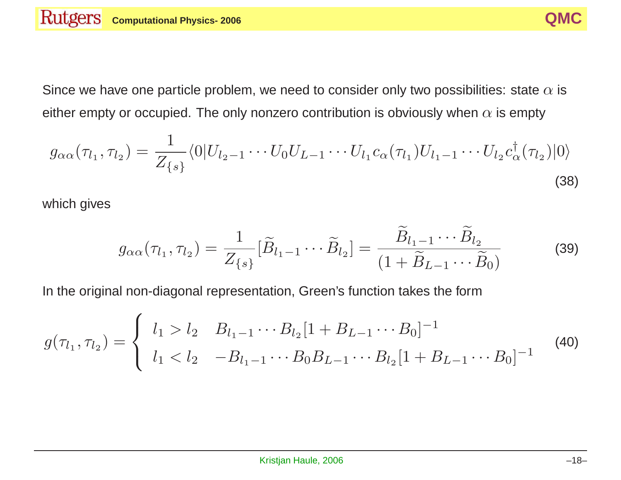Since we have one particle problem, we need to consider only two possibilities: state  $\alpha$  is either empty or occupied. The only nonzero contribution is obviously when  $\alpha$  is empty

$$
g_{\alpha\alpha}(\tau_{l_1}, \tau_{l_2}) = \frac{1}{Z_{\{s\}}} \langle 0|U_{l_2-1} \cdots U_0 U_{L-1} \cdots U_{l_1} c_{\alpha}(\tau_{l_1}) U_{l_1-1} \cdots U_{l_2} c_{\alpha}^{\dagger}(\tau_{l_2})|0\rangle
$$
\n(38)

which gives

$$
g_{\alpha\alpha}(\tau_{l_1},\tau_{l_2}) = \frac{1}{Z_{\{s\}}} [\widetilde{B}_{l_1-1} \cdots \widetilde{B}_{l_2}] = \frac{\widetilde{B}_{l_1-1} \cdots \widetilde{B}_{l_2}}{(1 + \widetilde{B}_{L-1} \cdots \widetilde{B}_{0})}
$$
(39)

In the original non-diagonal representation, Green's function takes the form

$$
g(\tau_{l_1}, \tau_{l_2}) = \begin{cases} l_1 > l_2 & B_{l_1 - 1} \cdots B_{l_2} [1 + B_{L-1} \cdots B_0]^{-1} \\ l_1 < l_2 & -B_{l_1 - 1} \cdots B_0 B_{L-1} \cdots B_{l_2} [1 + B_{L-1} \cdots B_0]^{-1} \end{cases}
$$
(40)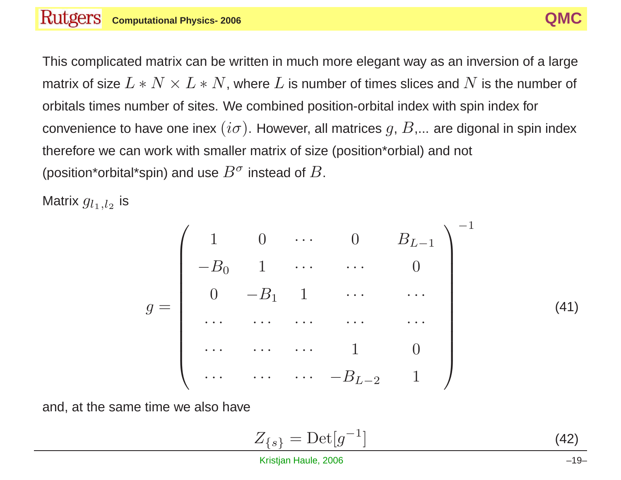This complicated matrix can be written in much more elegant way as an inversion of <sup>a</sup> large matrix of size  $L*N\times L*N$ , where  $L$  is number of times slices and  $N$  is the number of orbitals times number of sites. We combined position-orbital index with spin index for convenience to have one inex  $(i\sigma)$ . However, all matrices  $g, B,...$  are digonal in spin index therefore we can work with smaller matrix of size (position\*orbial) and not (position\*orbital\*spin) and use  $B^{\sigma}$  instead of  $B$ .

Matrix  $g_{l_1,l_2}$  is

$$
g = \begin{pmatrix} 1 & 0 & \cdots & 0 & B_{L-1} \\ -B_0 & 1 & \cdots & \cdots & 0 \\ 0 & -B_1 & 1 & \cdots & \cdots \\ \cdots & \cdots & \cdots & \cdots & \cdots \\ \cdots & \cdots & \cdots & 1 & 0 \\ \cdots & \cdots & \cdots & -B_{L-2} & 1 \end{pmatrix}^{-1}
$$
(41)

and, at the same time we also have

$$
Z_{\{s\}} = \text{Det}[g^{-1}] \tag{42}
$$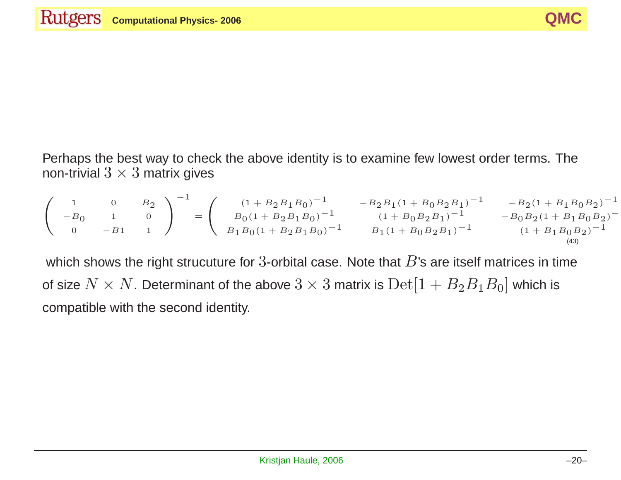Perhaps the best way to check the above identity is to examine few lowest order terms. The non-trivial  $3 \times 3$  matrix gives

$$
\begin{pmatrix}\n1 & 0 & B_2 \\
-B_0 & 1 & 0 \\
0 & -B_1 & 1\n\end{pmatrix}^{-1} = \begin{pmatrix}\n(1 + B_2 B_1 B_0)^{-1} & -B_2 B_1 (1 + B_0 B_2 B_1)^{-1} & -B_2 (1 + B_1 B_0 B_2)^{-1} \\
B_0 (1 + B_2 B_1 B_0)^{-1} & (1 + B_0 B_2 B_1)^{-1} & -B_0 B_2 (1 + B_1 B_0 B_2)^{-1} \\
B_1 B_0 (1 + B_2 B_1 B_0)^{-1} & B_1 (1 + B_0 B_2 B_1)^{-1} & (1 + B_1 B_0 B_2)^{-1}\n\end{pmatrix}
$$

which shows the right strucuture for 3-orbital case. Note that  $B$ 's are itself matrices in time of size  $N \times N$ . Determinant of the above  $3 \times 3$  matrix is  ${\rm Det}[1 + B_2 B_1 B_0]$  which is compatible with the second identity.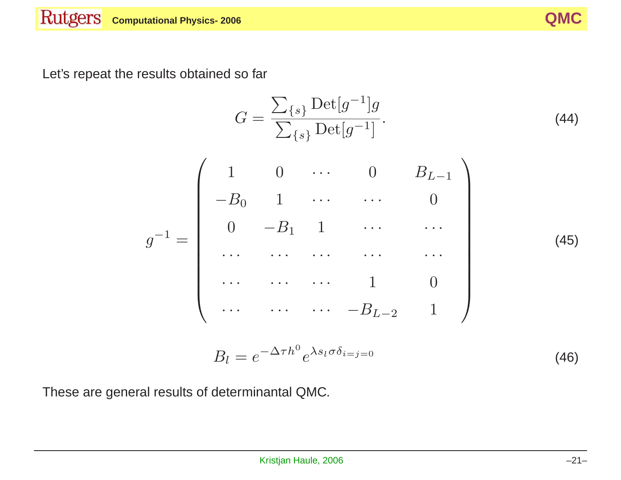Let's repeat the results obtained so far

$$
G = \frac{\sum_{\{s\}} \text{Det}[g^{-1}]g}{\sum_{\{s\}} \text{Det}[g^{-1}]}. \tag{44}
$$
\n
$$
g^{-1} = \begin{pmatrix} 1 & 0 & \cdots & 0 & B_{L-1} \\ -B_0 & 1 & \cdots & \cdots & 0 \\ 0 & -B_1 & 1 & \cdots & \cdots \\ \cdots & \cdots & \cdots & \cdots & \cdots \\ \cdots & \cdots & \cdots & 1 & 0 \\ \cdots & \cdots & \cdots & -B_{L-2} & 1 \end{pmatrix} \tag{45}
$$

$$
B_l = e^{-\Delta \tau h^0} e^{\lambda s_l \sigma \delta_{i=j=0}}
$$
\n(46)

These are general results of determinantal QMC.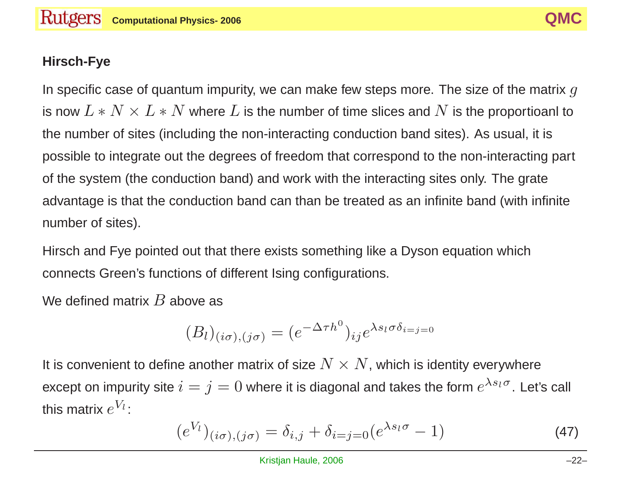### **Hirsch-Fye**

In specific case of quantum impurity, we can make few steps more. The size of the matrix  $g$ is now  $L*N\times L*N$  where  $L$  is the number of time slices and  $N$  is the proportioanl to the number of sites (including the non-interacting conduction band sites). As usual, it is possible to integrate out the degrees of freedom that correspond to the non-interacting part of the system (the conduction band) and work with the interacting sites only. The grate advantage is that the conduction band can than be treated as an infinite band (with infinite number of sites).

Hirsch and Fye pointed out that there exists something like <sup>a</sup> Dyson equation which connects Green's functions of different Ising configurations.

We defined matrix  $B$  above as

$$
(B_l)_{(i\sigma),(j\sigma)} = (e^{-\Delta \tau h^0})_{ij} e^{\lambda s_l \sigma \delta_{i=j=0}}
$$

It is convenient to define another matrix of size  $N \times N$ , which is identity everywhere except on impurity site  $i = j = 0$  where it is diagonal and takes the form  $e^{\lambda s_l \sigma}$ . Let's call this matrix  $e^{V_l}$ :

$$
(e^{V_l})_{(i\sigma),(j\sigma)} = \delta_{i,j} + \delta_{i=j=0}(e^{\lambda s_l \sigma} - 1)
$$
\n(47)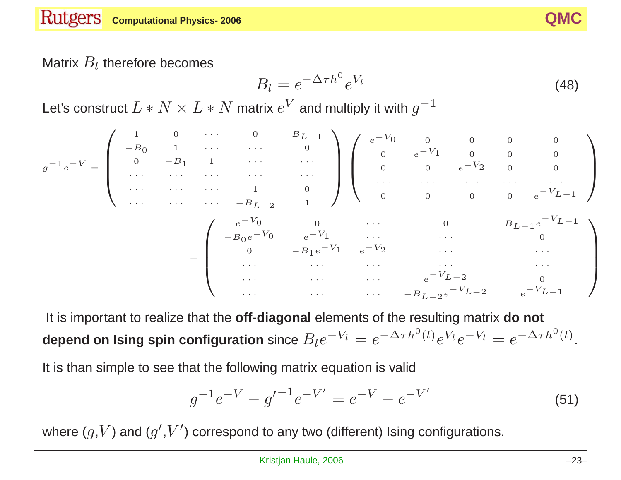### Matrix  $B_l$  therefore becomes

$$
B_l = e^{-\Delta \tau h^0} e^{V_l} \tag{48}
$$

Let's construct  $L*N\times L*N$  matrix  $e^V$  and multiply it with  $g^{-1}$ 

$$
g^{-1}e^{-V} = \begin{pmatrix}\n1 & 0 & \cdots & 0 & B_{L-1} \\
-B_0 & 1 & \cdots & \cdots & 0 \\
\cdots & \cdots & \cdots & \cdots & \cdots \\
\cdots & \cdots & \cdots & 1 & 0 \\
\cdots & \cdots & \cdots & 1 & 0 \\
\cdots & \cdots & \cdots & -B_{L-2} & 1\n\end{pmatrix}\n\begin{pmatrix}\ne^{-V_0} & 0 & 0 & 0 & 0 \\
0 & e^{-V_1} & 0 & 0 & 0 \\
\cdots & \cdots & \cdots & \cdots & \cdots \\
\cdots & \cdots & \cdots & \cdots & \cdots \\
0 & 0 & 0 & 0 & e^{-V_{L-1}}\n\end{pmatrix}
$$
\n
$$
= \begin{pmatrix}\ne^{-V_0} & 0 & \cdots & 0 & B_{L-1}e^{-V_{L-1}} \\
B_0e^{-V_0} & 0 & \cdots & 0 & B_{L-1}e^{-V_{L-1}} \\
\vdots & \vdots & \ddots & \vdots & \ddots & \vdots \\
0 & -B_1e^{-V_1} & e^{-V_2} & \cdots & \cdots \\
\vdots & \vdots & \vdots & \ddots & \vdots & \vdots \\
\vdots & \vdots & \vdots & \ddots & \vdots & \vdots \\
\vdots & \vdots & \vdots & \ddots & \vdots & \vdots \\
\vdots & \vdots & \vdots & \ddots & \vdots & \vdots \\
\vdots & \vdots & \vdots & \vdots & \ddots & \vdots \\
\vdots & \vdots & \vdots & \vdots & \vdots & \vdots \\
\vdots & \vdots & \vdots & \vdots & \vdots & \vdots \\
\vdots & \vdots & \vdots & \vdots & \vdots & \vdots \\
\vdots & \vdots & \vdots & \vdots & \vdots & \vdots \\
\vdots & \vdots & \vdots & \vdots & \vdots & \vdots \\
\vdots & \vdots & \vdots & \vdots & \vdots & \vdots \\
\vdots & \vdots & \vdots & \vdots & \vdots & \vdots \\
\vdots & \vdots & \vdots & \vdots & \vdots & \vdots \\
\vdots & \vdots & \vdots & \vdots & \vdots & \vdots \\
\vdots & \vdots & \vdots & \vdots & \vdots & \vdots \\
\vdots & \vdots & \vdots & \vd
$$

It is important to realize that the **off-diagonal** elements of the resulting matrix **do not depend on Ising spin configuration** since  $B_l e^{-V_l} = e^{-\Delta \tau h^0(l)} e^{V_l} e^{-V_l} = e^{-\Delta \tau h^0(l)}$ .

It is than simple to see that the following matrix equation is valid

$$
g^{-1}e^{-V} - g'^{-1}e^{-V'} = e^{-V} - e^{-V'} \tag{51}
$$

where  $(g, V)$  and  $(g', V')$  correspond to any two (different) Ising configurations.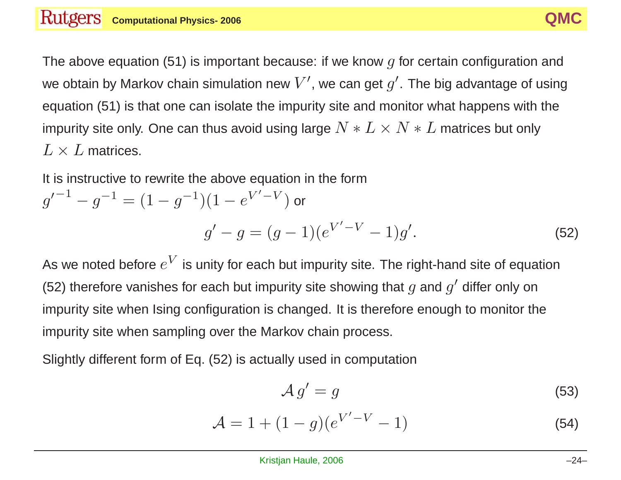The above equation (51) is important because: if we know  $q$  for certain configuration and we obtain by Markov chain simulation new  $V'$ , we can get  $g'$ . The big advantage of using equation (51) is that one can isolate the impurity site and monitor what happens with the impurity site only. One can thus avoid using large  $N * L \times N * L$  matrices but only  $L \times L$  matrices.

It is instructive to rewrite the above equation in the form

$$
g'^{-1} - g^{-1} = (1 - g^{-1})(1 - e^{V' - V}) \text{ or}
$$

$$
g' - g = (g - 1)(e^{V' - V} - 1)g'.
$$
 (52)

As we noted before  $e^V$  is unity for each but impurity site. The right-hand site of equation (52) therefore vanishes for each but impurity site showing that  $q$  and  $q'$  differ only on impurity site when Ising configuration is changed. It is therefore enough to monitor the impurity site when sampling over the Markov chain process.

Slightly different form of Eq. (52) is actually used in computation

$$
A g' = g \tag{53}
$$

$$
\mathcal{A} = 1 + (1 - g)(e^{V' - V} - 1)
$$
 (54)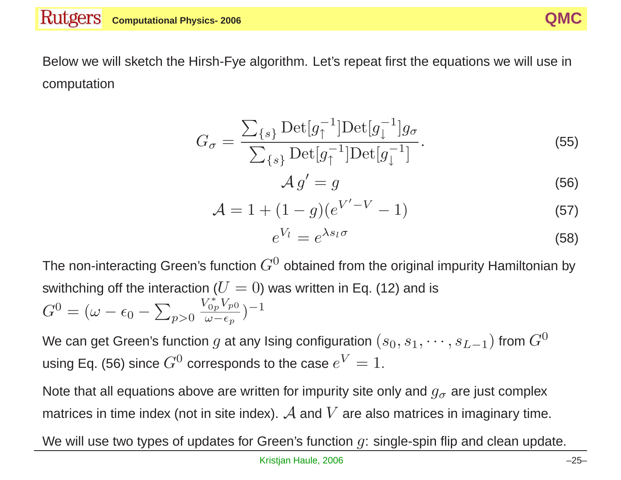Below we will sketch the Hirsh-Fye algorithm. Let's repeat first the equations we will use in computation

$$
G_{\sigma} = \frac{\sum_{\{s\}} \text{Det}[g_{\uparrow}^{-1}] \text{Det}[g_{\downarrow}^{-1}] g_{\sigma}}{\sum_{\{s\}} \text{Det}[g_{\uparrow}^{-1}] \text{Det}[g_{\downarrow}^{-1}]}. \tag{55}
$$
\n
$$
\mathcal{A} g' = g \tag{56}
$$

$$
\mathcal{A} = 1 + (1 - g)(e^{V' - V} - 1)
$$
 (57)

$$
e^{V_l} = e^{\lambda s_l \sigma} \tag{58}
$$

The non-interacting Green's function  $G^0$  obtained from the original impurity Hamiltonian by swithching off the interaction ( $U = 0$ ) was written in Eq. (12) and is  $G^{0} = (\omega - \epsilon_{0} - \sum_{p>0} \frac{V_{0p}^{*}V_{p0}}{\omega - \epsilon_{p}})^{-1}$ 

We can get Green's function g at any Ising configuration  $(s_0, s_1, \dots, s_{L-1})$  from  $G^0$ using Eq. (56) since  $G^0$  corresponds to the case  $e^V=1$ .

Note that all equations above are written for impurity site only and  $g_{\sigma}$  are just complex matrices in time index (not in site index).  $\mathcal A$  and  $V$  are also matrices in imaginary time.

We will use two types of updates for Green's function  $g$ : single-spin flip and clean update.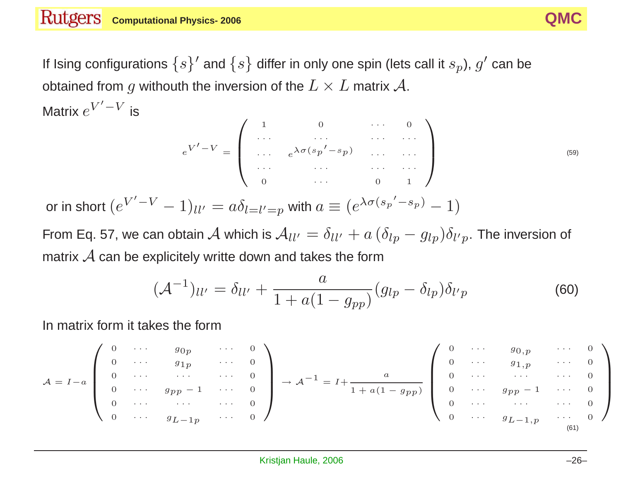If Ising configurations  $\{s\}'$  and  $\{s\}$  differ in only one spin (lets call it  $s_p$ ),  $g'$  can be obtained from g withouth the inversion of the  $L \times L$  matrix  $\mathcal{A}$ . Matrix  $e^{V'-V}$  is

$$
e^{V'-V} = \begin{pmatrix} 1 & 0 & \cdots & 0 \\ \cdots & \cdots & \cdots & \cdots \\ \cdots & e^{\lambda \sigma (s_p' - s_p)} & \cdots & \cdots \\ \cdots & \cdots & \cdots & \cdots \\ 0 & \cdots & 0 & 1 \end{pmatrix}
$$
(59)

or in short  $(e^{V'-V}-1)_{ll'}=a\delta_{l=l'=p}$  with  $a\equiv (e^{\lambda\sigma(s_p'-s_p)}-1)$ 

From Eq. 57, we can obtain A which is  $A_{ll'} = \delta_{ll'} + a (\delta_{lp} - g_{lp}) \delta_{l'p}$ . The inversion of matrix  $A$  can be explicitely writte down and takes the form

$$
(\mathcal{A}^{-1})_{ll'} = \delta_{ll'} + \frac{a}{1 + a(1 - g_{pp})} (g_{lp} - \delta_{lp}) \delta_{l'p}
$$
 (60)

In matrix form it takes the form

$$
\mathcal{A} = I - a \begin{pmatrix} 0 & \cdots & g_{0p} & \cdots & 0 \\ 0 & \cdots & g_{1p} & \cdots & 0 \\ 0 & \cdots & \cdots & \cdots & 0 \\ 0 & \cdots & g_{p-1} & \cdots & 0 \\ 0 & \cdots & \cdots & \cdots & 0 \\ 0 & \cdots & g_{L-1p} & \cdots & 0 \end{pmatrix} \rightarrow \mathcal{A}^{-1} = I + \frac{a}{1 + a(1 - g_{pp})} \begin{pmatrix} 0 & \cdots & g_{0,p} & \cdots & 0 \\ 0 & \cdots & g_{1,p} & \cdots & 0 \\ 0 & \cdots & \cdots & \cdots & 0 \\ 0 & \cdots & g_{p-1} & \cdots & 0 \\ 0 & \cdots & \cdots & \cdots & 0 \\ 0 & \cdots & g_{L-1,p} & \cdots & 0 \end{pmatrix}
$$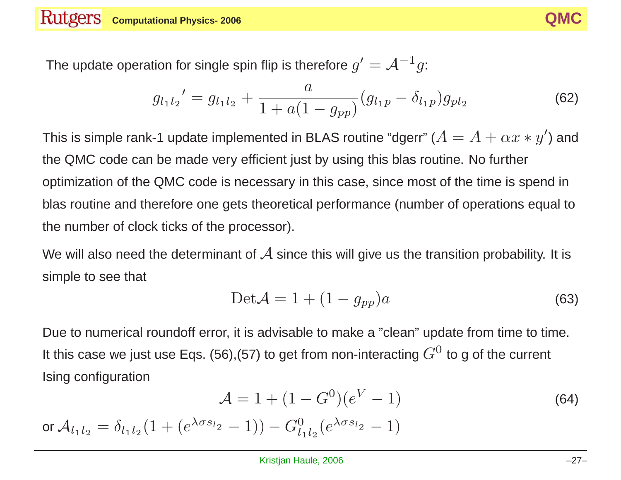

The update operation for single spin flip is therefore  $g' = \mathcal{A}^{-1}g$ :

$$
g_{l_1l_2}' = g_{l_1l_2} + \frac{a}{1 + a(1 - g_{pp})}(g_{l_1p} - \delta_{l_1p})g_{pl_2}
$$
(62)

This is simple rank-1 update implemented in BLAS routine "dgerr" ( $A = A + \alpha x * y'$ ) and the QMC code can be made very efficient just by using this blas routine. No further optimization of the QMC code is necessary in this case, since most of the time is spend in blas routine and therefore one gets theoretical performance (number of operations equal to the number of clock ticks of the processor).

We will also need the determinant of  $\mathcal A$  since this will give us the transition probability. It is simple to see that

$$
\text{Det}\mathcal{A} = 1 + (1 - g_{pp})a \tag{63}
$$

Due to numerical roundoff error, it is advisable to make <sup>a</sup> "clean" update from time to time. It this case we just use Eqs. (56),(57) to get from non-interacting  $G^0$  to g of the current Ising configuration

$$
A = 1 + (1 - G^0)(e^V - 1)
$$
 (64)

or  $A_{l_1l_2} = \delta_{l_1l_2}(1 + (e^{\lambda \sigma s_{l_2}} - 1)) - G_{l_1l_2}^0(e^{\lambda \sigma s_{l_2}} - 1)$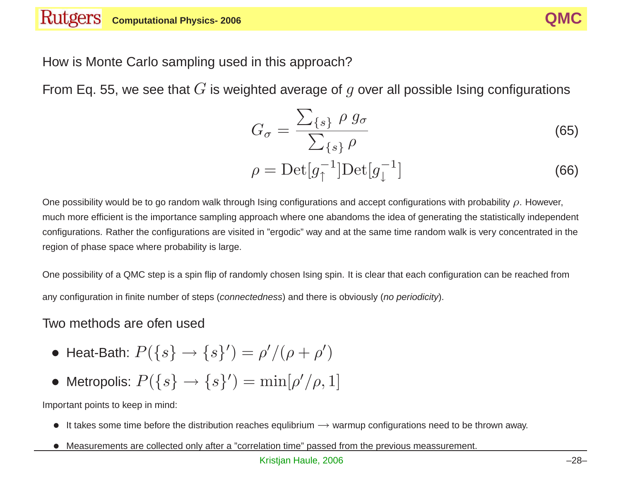

How is Monte Carlo sampling used in this approach?

From Eq. 55, we see that  $G$  is weighted average of  $g$  over all possible Ising configurations

$$
G_{\sigma} = \frac{\sum_{\{s\}} \rho g_{\sigma}}{\sum_{\{s\}} \rho} \tag{65}
$$

$$
\rho = \text{Det}[g_{\uparrow}^{-1}]\text{Det}[g_{\downarrow}^{-1}] \tag{66}
$$

One possibility would be to go random walk through Ising configurations and accept configurations with probability  $\rho$ . However, much more efficient is the importance sampling approach where one abandoms the idea of generating the statistically independent configurations. Rather the configurations are visited in "ergodic" way and at the same time random walk is very concentrated in the region of phase space where probability is large.

One possibility of <sup>a</sup> QMC step is <sup>a</sup> spin flip of randomly chosen Ising spin. It is clear that each configuration can be reached from any configuration in finite number of steps (*connectedness*) and there is obviously (*no periodicity*).

#### Two methods are ofen used

- Heat-Bath:  $P({s} \rightarrow {s}'') = \rho' / (\rho + \rho')$
- Metropolis:  $P({s} \rightarrow {s}'') = \min[\rho'/\rho, 1]$

Important points to keep in mind:

- It takes some time before the distribution reaches equilibrium  $\rightarrow$  warmup configurations need to be thrown away.
- Measurements are collected only after <sup>a</sup> "correlation time" passed from the previous meassurement.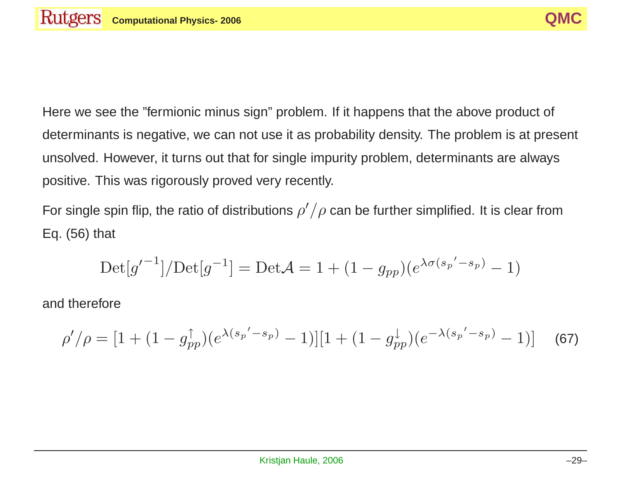Here we see the "fermionic minus sign" problem. If it happens that the above product of determinants is negative, we can not use it as probability density. The problem is at present unsolved. However, it turns out that for single impurity problem, determinants are always positive. This was rigorously proved very recently.

For single spin flip, the ratio of distributions  $\rho'/\rho$  can be further simplified. It is clear from Eq. (56) that

$$
Det[g'^{-1}] / Det[g^{-1}] = Det\mathcal{A} = 1 + (1 - g_{pp})(e^{\lambda \sigma(s_p' - s_p)} - 1)
$$

and therefore

$$
\rho'/\rho = [1 + (1 - g_{pp}^{\uparrow})(e^{\lambda(s_p' - s_p)} - 1)][1 + (1 - g_{pp}^{\downarrow})(e^{-\lambda(s_p' - s_p)} - 1)] \quad (67)
$$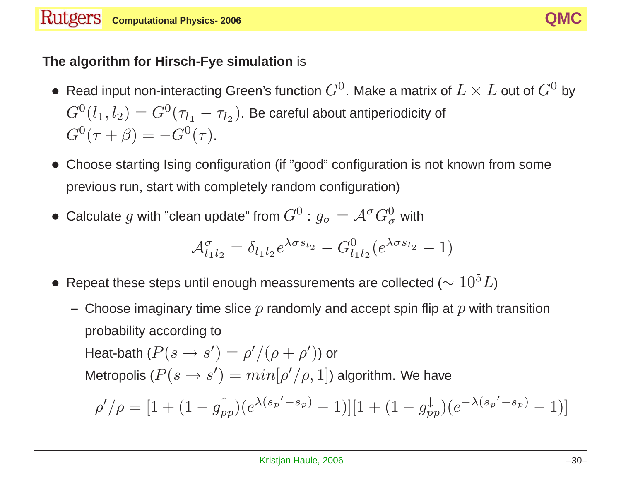

#### **The algorithm for Hirsch-Fye simulation** is

- Read input non-interacting Green's function  $G^0$ . Make a matrix of  $L \times L$  out of  $G^0$  by  $G^0(l_1, l_2) = G^0(\tau_{l_1} - \tau_{l_2})$ . Be careful about antiperiodicity of  $G^{0}(\tau + \beta) = -G^{0}(\tau).$
- Choose starting Ising configuration (if "good" configuration is not known from some previous run, start with completely random configuration)
- Calculate g with "clean update" from  $G^0$  :  $g_{\sigma} = \mathcal{A}^{\sigma} G_{\sigma}^0$  with

$$
\mathcal{A}_{l_1l_2}^{\sigma} = \delta_{l_1l_2} e^{\lambda \sigma s_{l_2}} - G_{l_1l_2}^0 (e^{\lambda \sigma s_{l_2}} - 1)
$$

- Repeat these steps until enough meassurements are collected ( $\sim 10^5 L$ )
	- $-$  Choose imaginary time slice  $p$  randomly and accept spin flip at  $p$  with transition probability according to Heat-bath  $(P(s \rightarrow s') = \rho' / (\rho + \rho'))$  or Metropolis ( $P(s \to s') = min[\rho'/\rho, 1]$ ) algorithm. We have  $\rho' / \rho = [1 + (1 - g_{pp}^{\uparrow})(e^{\lambda(s_p' - s_p)} - 1)][1 + (1 - g_{pp}^{\downarrow})(e^{-\lambda(s_p' - s_p)} - 1)]$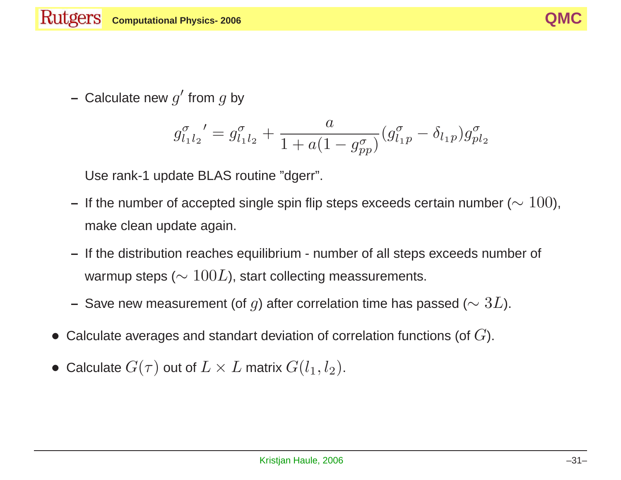

**–** Calculate new <sup>g</sup>′ from <sup>g</sup> by

$$
g_{l_1l_2}^{\sigma'} = g_{l_1l_2}^{\sigma} + \frac{a}{1 + a(1 - g_{pp}^{\sigma})} (g_{l_1p}^{\sigma} - \delta_{l_1p}) g_{pl_2}^{\sigma}
$$

Use rank-1 update BLAS routine "dgerr".

- **–** If the number of accepted single spin flip steps exceeds certain number (<sup>∼</sup> 100), make clean update again.
- **–** If the distribution reaches equilibrium number of all steps exceeds number of warmup steps ( $\sim 100L$ ), start collecting meassurements.
- **–** Save new measurement (of <sup>g</sup>) after correlation time has passed (<sup>∼</sup> <sup>3</sup>L).
- Calculate averages and standart deviation of correlation functions (of  $G$ ).
- Calculate  $G(\tau)$  out of  $L \times L$  matrix  $G(l_1, l_2)$ .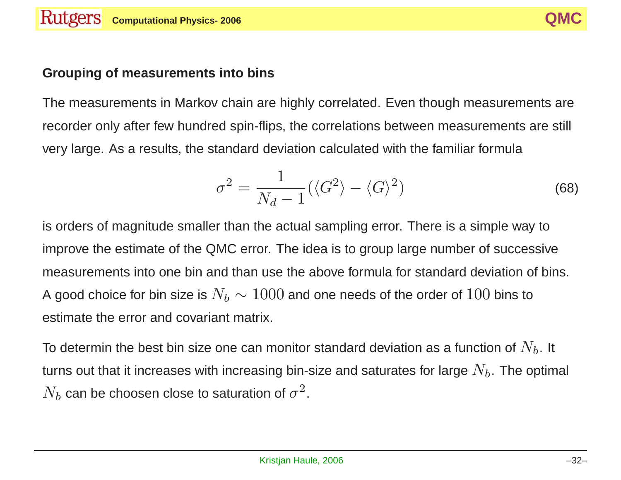### **Grouping of measurements into bins**

The measurements in Markov chain are highly correlated. Even though measurements are recorder only after few hundred spin-flips, the correlations between measurements are still very large. As <sup>a</sup> results, the standard deviation calculated with the familiar formula

$$
\sigma^2 = \frac{1}{N_d - 1} (\langle G^2 \rangle - \langle G \rangle^2)
$$
 (68)

is orders of magnitude smaller than the actual sampling error. There is <sup>a</sup> simple way to improve the estimate of the QMC error. The idea is to group large number of successive measurements into one bin and than use the above formula for standard deviation of bins. A good choice for bin size is  $N_b \sim 1000$  and one needs of the order of  $100$  bins to estimate the error and covariant matrix.

To determin the best bin size one can monitor standard deviation as a function of  $N_b$ . It turns out that it increases with increasing bin-size and saturates for large  $N_b$ . The optimal  $N_b$  can be choosen close to saturation of  $\sigma^2$ .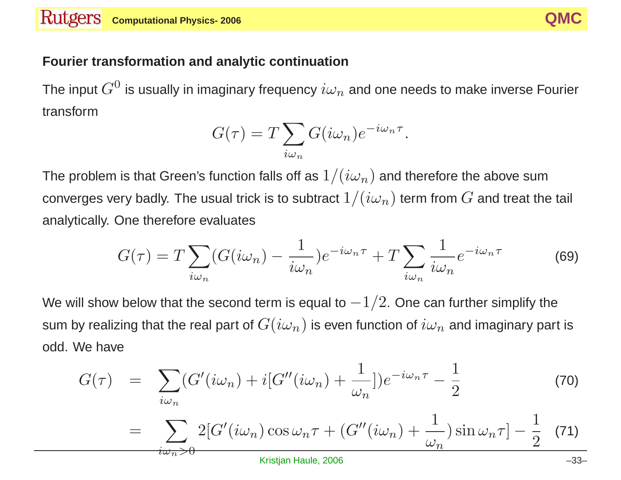#### **Fourier transformation and analytic continuation**

 $i\omega_n{>}0$ 

The input  $G^0$  is usually in imaginary frequency  $i\omega_n$  and one needs to make inverse Fourier transform

$$
G(\tau) = T \sum_{i\omega_n} G(i\omega_n) e^{-i\omega_n \tau}.
$$

The problem is that Green's function falls off as  $1/(i\omega_n)$  and therefore the above sum converges very badly. The usual trick is to subtract  $1/(i\omega_n)$  term from  $G$  and treat the tail analytically. One therefore evaluates

$$
G(\tau) = T \sum_{i\omega_n} (G(i\omega_n) - \frac{1}{i\omega_n}) e^{-i\omega_n \tau} + T \sum_{i\omega_n} \frac{1}{i\omega_n} e^{-i\omega_n \tau}
$$
(69)

We will show below that the second term is equal to  $-1/2$ . One can further simplify the sum by realizing that the real part of  $G(i\omega_n)$  is even function of  $i\omega_n$  and imaginary part is odd. We have

$$
G(\tau) = \sum_{i\omega_n} (G'(i\omega_n) + i[G''(i\omega_n) + \frac{1}{\omega_n}])e^{-i\omega_n\tau} - \frac{1}{2}
$$
(70)  
= 
$$
\sum_{i\omega_n} 2[G'(i\omega_n)\cos\omega_n\tau + (G''(i\omega_n) + \frac{1}{\omega_n})\sin\omega_n\tau] - \frac{1}{2}
$$
(71)

Kristjan Haule, 2006 –33–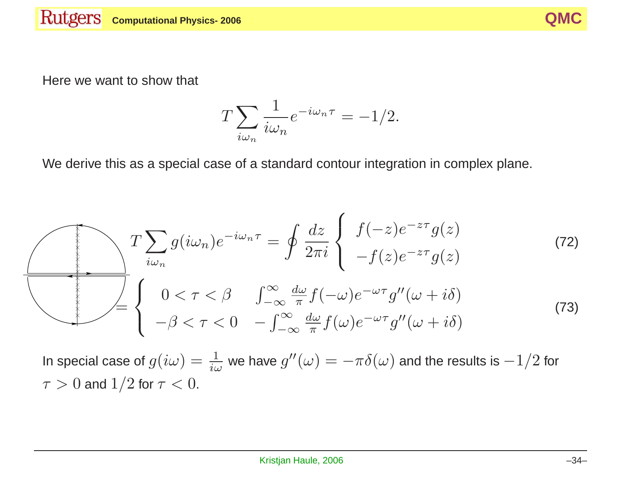

Here we want to show that

$$
T\sum_{i\omega_n}\frac{1}{i\omega_n}e^{-i\omega_n\tau}=-1/2.
$$

We derive this as <sup>a</sup> special case of <sup>a</sup> standard contour integration in complex plane.

$$
T\sum_{i\omega_n} g(i\omega_n)e^{-i\omega_n\tau} = \oint \frac{dz}{2\pi i} \begin{cases} f(-z)e^{-z\tau}g(z) \\ -f(z)e^{-z\tau}g(z) \end{cases}
$$
(72)  

$$
= \begin{cases} 0 < \tau < \beta & \int_{-\infty}^{\infty} \frac{d\omega}{\pi} f(-\omega)e^{-\omega\tau}g''(\omega+i\delta) \\ -\beta < \tau < 0 & -\int_{-\infty}^{\infty} \frac{d\omega}{\pi}f(\omega)e^{-\omega\tau}g''(\omega+i\delta) \end{cases}
$$
(73)

In special case of  $g(i\omega) = \frac{1}{i\omega}$  we have  $g''(\omega) = -\pi\delta(\omega)$  and the results is  $-1/2$  for  $\tau > 0$  and  $1/2$  for  $\tau < 0$ .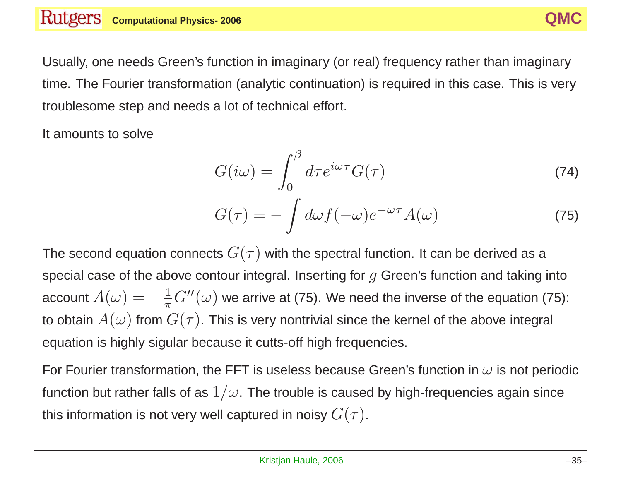Usually, one needs Green's function in imaginary (or real) frequency rather than imaginary time. The Fourier transformation (analytic continuation) is required in this case. This is very troublesome step and needs <sup>a</sup> lot of technical effort.

It amounts to solve

$$
G(i\omega) = \int_0^\beta d\tau e^{i\omega\tau} G(\tau) \tag{74}
$$

$$
G(\tau) = -\int d\omega f(-\omega)e^{-\omega\tau}A(\omega)
$$
 (75)

The second equation connects  $G(\tau)$  with the spectral function. It can be derived as a special case of the above contour integral. Inserting for  $q$  Green's function and taking into account  $A(\omega) = -\frac{1}{\pi}G''(\omega)$  we arrive at (75). We need the inverse of the equation (75): to obtain  $A(\omega)$  from  $G(\tau)$ . This is very nontrivial since the kernel of the above integral equation is highly sigular because it cutts-off high frequencies.

For Fourier transformation, the FFT is useless because Green's function in  $\omega$  is not periodic function but rather falls of as  $1/\omega$ . The trouble is caused by high-frequencies again since this information is not very well captured in noisy  $G(\tau)$ .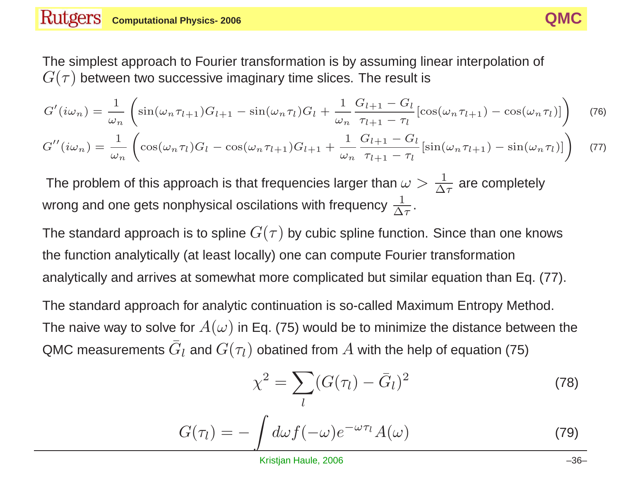The simplest approach to Fourier transformation is by assuming linear interpolation of  $G(\tau)$  between two successive imaginary time slices. The result is

$$
G'(i\omega_n) = \frac{1}{\omega_n} \left( \sin(\omega_n \tau_{l+1}) G_{l+1} - \sin(\omega_n \tau_l) G_l + \frac{1}{\omega_n} \frac{G_{l+1} - G_l}{\tau_{l+1} - \tau_l} [\cos(\omega_n \tau_{l+1}) - \cos(\omega_n \tau_l)] \right)
$$
(76)

$$
G''(i\omega_n) = \frac{1}{\omega_n} \left( \cos(\omega_n \tau_l) G_l - \cos(\omega_n \tau_{l+1}) G_{l+1} + \frac{1}{\omega_n} \frac{G_{l+1} - G_l}{\tau_{l+1} - \tau_l} \left[ \sin(\omega_n \tau_{l+1}) - \sin(\omega_n \tau_l) \right] \right) \tag{77}
$$

The problem of this approach is that frequencies larger than  $\omega > \frac{1}{\Delta \tau}$  are completely wrong and one gets nonphysical oscilations with frequency  $\frac{1}{\Delta \tau}$ .

The standard approach is to spline  $G(\tau)$  by cubic spline function. Since than one knows the function analytically (at least locally) one can compute Fourier transformation analytically and arrives at somewhat more complicated but similar equation than Eq. (77).

The standard approach for analytic continuation is so-called Maximum Entropy Method. The naive way to solve for  $A(\omega)$  in Eq. (75) would be to minimize the distance between the QMC measurements  $\bar{G}_l$  and  $G(\tau_l)$  obatined from  $A$  with the help of equation (75)

) obtained from A with the help of equation (75)  

$$
\chi^2 = \sum_l (G(\tau_l) - \bar{G}_l)^2
$$
(78)

$$
G(\tau_l) = -\int d\omega f(-\omega)e^{-\omega \tau_l} A(\omega)
$$
 (79)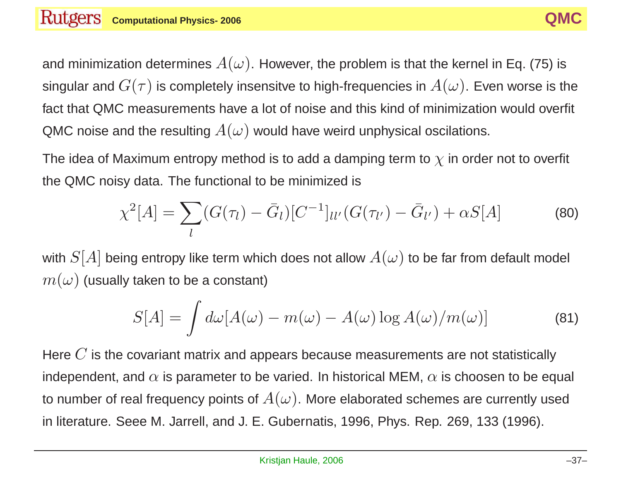and minimization determines  $A(\omega)$ . However, the problem is that the kernel in Eq. (75) is singular and  $G(\tau)$  is completely insensitve to high-frequencies in  $A(\omega)$ . Even worse is the fact that QMC measurements have <sup>a</sup> lot of noise and this kind of minimization would overfit QMC noise and the resulting  $A(\omega)$  would have weird unphysical oscilations.

The idea of Maximum entropy method is to add a damping term to  $\chi$  in order not to overfit

the QMC noisy data. The functional to be minimized is  
\n
$$
\chi^2[A] = \sum_{l} (G(\tau_l) - \bar{G}_l) [C^{-1}]_{ll'} (G(\tau_{l'}) - \bar{G}_{l'}) + \alpha S[A]
$$
\n(80)

with  $S[A]$  being entropy like term which does not allow  $A(\omega)$  to be far from default model  $m(\omega)$  (usually taken to be a constant)

$$
S[A] = \int d\omega [A(\omega) - m(\omega) - A(\omega) \log A(\omega) / m(\omega)] \tag{81}
$$

Here  $C$  is the covariant matrix and appears because measurements are not statistically independent, and  $\alpha$  is parameter to be varied. In historical MEM,  $\alpha$  is choosen to be equal to number of real frequency points of  $A(\omega)$ . More elaborated schemes are currently used in literature. Seee M. Jarrell, and J. E. Gubernatis, 1996, Phys. Rep. 269, 133 (1996).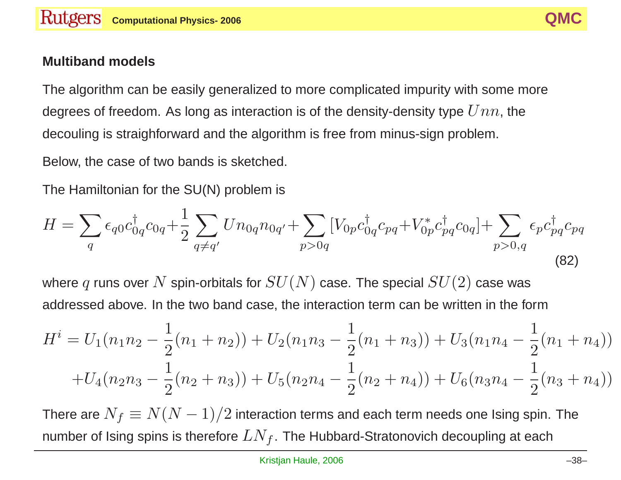#### **Multiband models**

The algorithm can be easily generalized to more complicated impurity with some more degrees of freedom. As long as interaction is of the density-density type  $Unn$ , the decouling is straighforward and the algorithm is free from minus-sign problem.

Below, the case of two bands is sketched.

The Hamiltonian for the SU(N) problem is

$$
H = \sum_{q} \epsilon_{q0} c_{0q}^{\dagger} c_{0q} + \frac{1}{2} \sum_{q \neq q'} U n_{0q} n_{0q'} + \sum_{p > 0q} \left[ V_{0p} c_{0q}^{\dagger} c_{pq} + V_{0p}^* c_{pq}^{\dagger} c_{0q} \right] + \sum_{p > 0,q} \epsilon_{p} c_{pq}^{\dagger} c_{pq}
$$
\n(82)

where q runs over N spin-orbitals for  $SU(N)$  case. The special  $SU(2)$  case was addressed above. In the two band case, the interaction term can be written in the form

$$
H^{i} = U_{1}(n_{1}n_{2} - \frac{1}{2}(n_{1} + n_{2})) + U_{2}(n_{1}n_{3} - \frac{1}{2}(n_{1} + n_{3})) + U_{3}(n_{1}n_{4} - \frac{1}{2}(n_{1} + n_{4}))
$$
  
+ 
$$
U_{4}(n_{2}n_{3} - \frac{1}{2}(n_{2} + n_{3})) + U_{5}(n_{2}n_{4} - \frac{1}{2}(n_{2} + n_{4})) + U_{6}(n_{3}n_{4} - \frac{1}{2}(n_{3} + n_{4}))
$$

There are  $N_f \equiv N(N-1)/2$  interaction terms and each term needs one Ising spin. The number of Ising spins is therefore  $LN_f$ . The Hubbard-Stratonovich decoupling at each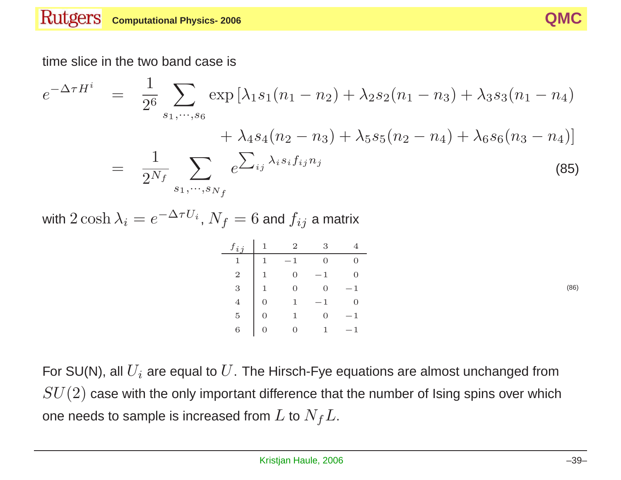

time slice in the two band case is  
\n
$$
e^{-\Delta \tau H^i} = \frac{1}{2^6} \sum_{s_1, \dots, s_6} \exp\left[\lambda_1 s_1 (n_1 - n_2) + \lambda_2 s_2 (n_1 - n_3) + \lambda_3 s_3 (n_1 - n_4) + \lambda_4 s_4 (n_2 - n_3) + \lambda_5 s_5 (n_2 - n_4) + \lambda_6 s_6 (n_3 - n_4)\right]
$$
\n
$$
= \frac{1}{2^{N_f}} \sum_{s_1, \dots, s_{N_f}} e^{\sum_{ij} \lambda_i s_i f_{ij} n_j}
$$
\n(85)

with  $2 \cosh \lambda_i = e^{-\Delta \tau U_i}$ ,  $N_f = 6$  and  $f_{ij}$  a matrix

| $f_{ij}$       |   |   | 3   |   |
|----------------|---|---|-----|---|
|                | 1 | 1 |     |   |
| $\overline{2}$ | 1 | 0 | 1   | O |
| 3              | 1 | O | 0   | 1 |
|                | 0 | 1 | - 1 | O |
| 5              | 0 | 1 | 0   | 1 |
| 6              | O |   |     | 1 |

(86)

For SU(N), all  $U_i$  are equal to  $U$ . The Hirsch-Fye equations are almost unchanged from  $SU(2)$  case with the only important difference that the number of Ising spins over which one needs to sample is increased from  $L$  to  $N_fL$ .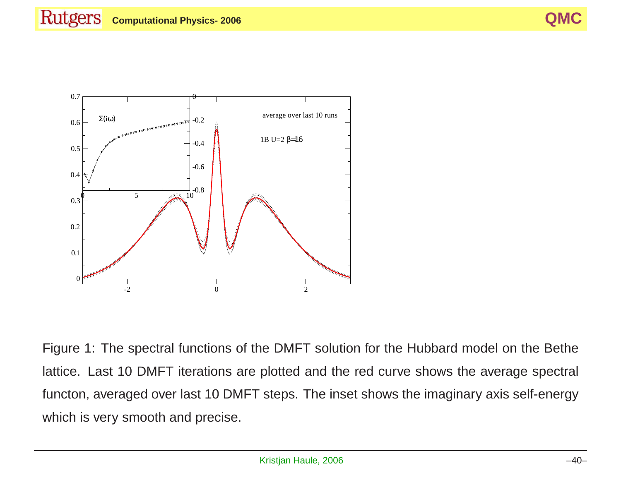

Figure 1: The spectral functions of the DMFT solution for the Hubbard model on the Bethe lattice. Last 10 DMFT iterations are plotted and the red curve shows the average spectral functon, averaged over last 10 DMFT steps. The inset shows the imaginary axis self-energy which is very smooth and precise.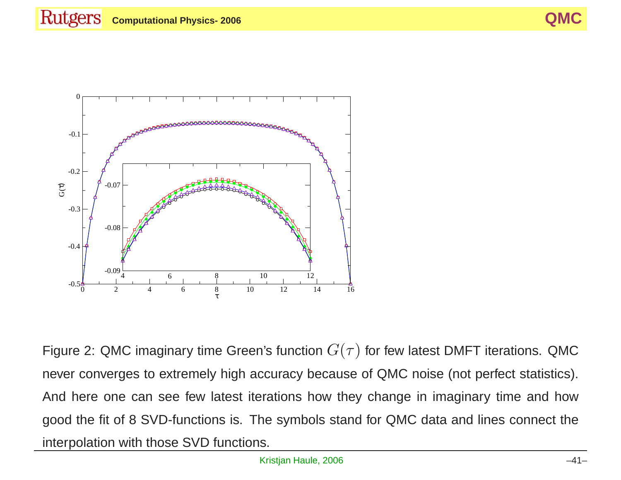

Figure 2: QMC imaginary time Green's function  $G(\tau)$  for few latest DMFT iterations. QMC never converges to extremely high accuracy because of QMC noise (not perfect statistics). And here one can see few latest iterations how they change in imaginary time and how good the fit of 8 SVD-functions is. The symbols stand for QMC data and lines connect the interpolation with those SVD functions.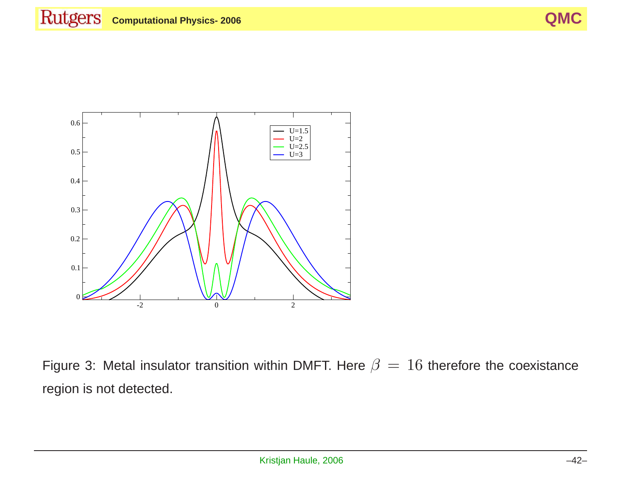

Figure 3: Metal insulator transition within DMFT. Here  $\beta = 16$  therefore the coexistance region is not detected.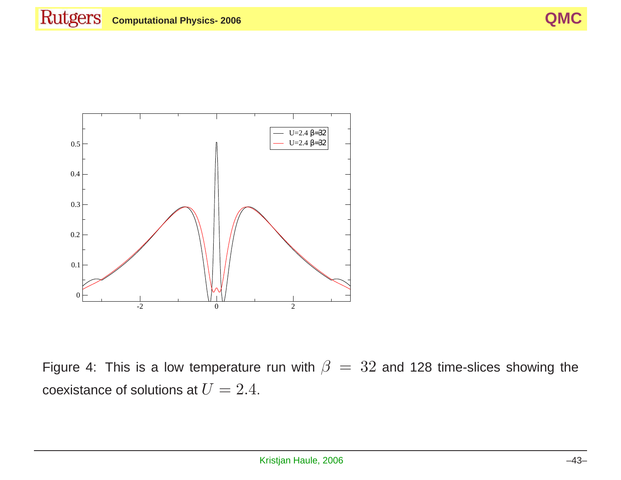

Figure 4: This is a low temperature run with  $\beta = 32$  and 128 time-slices showing the coexistance of solutions at  $U = 2.4$ .